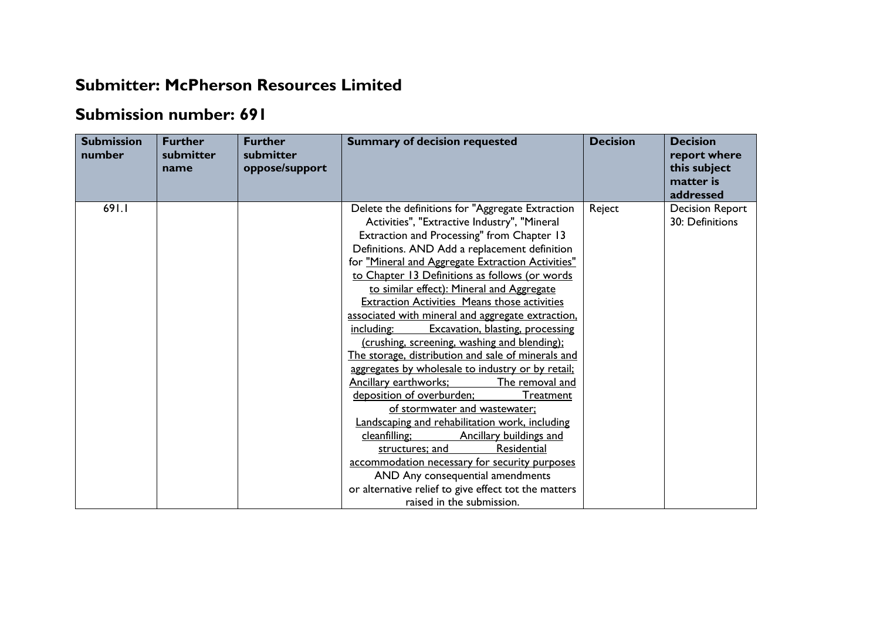## **Submitter: McPherson Resources Limited**

## **Submission number: 691**

| oppose/support<br>name                                                                                                                                                                                                                                                                                                                                                                                                                                                                                                                                                                                                                                                                                                                                                                                                                                                                                                                                                                                                                                                                                                           | this subject<br>matter is<br>addressed    |
|----------------------------------------------------------------------------------------------------------------------------------------------------------------------------------------------------------------------------------------------------------------------------------------------------------------------------------------------------------------------------------------------------------------------------------------------------------------------------------------------------------------------------------------------------------------------------------------------------------------------------------------------------------------------------------------------------------------------------------------------------------------------------------------------------------------------------------------------------------------------------------------------------------------------------------------------------------------------------------------------------------------------------------------------------------------------------------------------------------------------------------|-------------------------------------------|
| 691.I<br>Delete the definitions for "Aggregate Extraction<br>Reject<br>Activities", "Extractive Industry", "Mineral<br>Extraction and Processing" from Chapter 13<br>Definitions. AND Add a replacement definition<br>for "Mineral and Aggregate Extraction Activities"<br>to Chapter 13 Definitions as follows (or words<br>to similar effect): Mineral and Aggregate<br><b>Extraction Activities Means those activities</b><br>associated with mineral and aggregate extraction.<br>Excavation, blasting, processing<br>including:<br>(crushing, screening, washing and blending);<br>The storage, distribution and sale of minerals and<br>aggregates by wholesale to industry or by retail;<br>Ancillary earthworks;<br>The removal and<br>deposition of overburden;<br>Treatment<br>of stormwater and wastewater;<br>Landscaping and rehabilitation work, including<br>cleanfilling;<br>Ancillary buildings and<br>Residential<br>structures; and<br>accommodation necessary for security purposes<br>AND Any consequential amendments<br>or alternative relief to give effect tot the matters<br>raised in the submission. | <b>Decision Report</b><br>30: Definitions |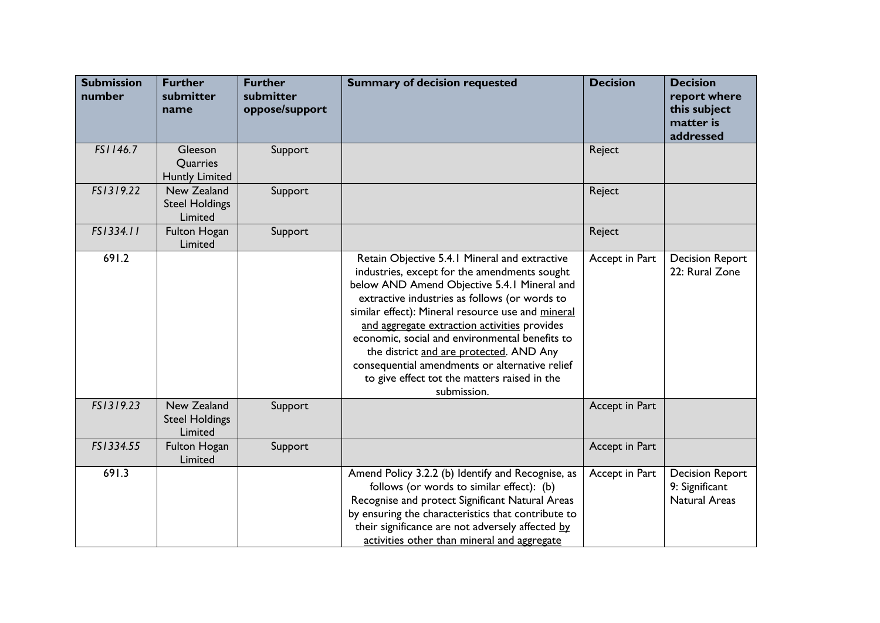| <b>Submission</b><br>number | <b>Further</b><br>submitter<br>name             | <b>Further</b><br>submitter<br>oppose/support | <b>Summary of decision requested</b>                                                                                                                                                                                                                                                                                                                                                                                                                                                                             | <b>Decision</b> | <b>Decision</b><br>report where<br>this subject<br>matter is<br>addressed |
|-----------------------------|-------------------------------------------------|-----------------------------------------------|------------------------------------------------------------------------------------------------------------------------------------------------------------------------------------------------------------------------------------------------------------------------------------------------------------------------------------------------------------------------------------------------------------------------------------------------------------------------------------------------------------------|-----------------|---------------------------------------------------------------------------|
| FS1146.7                    | Gleeson<br>Quarries<br><b>Huntly Limited</b>    | Support                                       |                                                                                                                                                                                                                                                                                                                                                                                                                                                                                                                  | Reject          |                                                                           |
| FS1319.22                   | New Zealand<br><b>Steel Holdings</b><br>Limited | Support                                       |                                                                                                                                                                                                                                                                                                                                                                                                                                                                                                                  | Reject          |                                                                           |
| FS1334.11                   | <b>Fulton Hogan</b><br>Limited                  | Support                                       |                                                                                                                                                                                                                                                                                                                                                                                                                                                                                                                  | Reject          |                                                                           |
| 691.2                       |                                                 |                                               | Retain Objective 5.4.1 Mineral and extractive<br>industries, except for the amendments sought<br>below AND Amend Objective 5.4.1 Mineral and<br>extractive industries as follows (or words to<br>similar effect): Mineral resource use and mineral<br>and aggregate extraction activities provides<br>economic, social and environmental benefits to<br>the district and are protected. AND Any<br>consequential amendments or alternative relief<br>to give effect tot the matters raised in the<br>submission. | Accept in Part  | <b>Decision Report</b><br>22: Rural Zone                                  |
| FS1319.23                   | New Zealand<br><b>Steel Holdings</b><br>Limited | Support                                       |                                                                                                                                                                                                                                                                                                                                                                                                                                                                                                                  | Accept in Part  |                                                                           |
| FS1334.55                   | Fulton Hogan<br>Limited                         | Support                                       |                                                                                                                                                                                                                                                                                                                                                                                                                                                                                                                  | Accept in Part  |                                                                           |
| 691.3                       |                                                 |                                               | Amend Policy 3.2.2 (b) Identify and Recognise, as<br>follows (or words to similar effect): (b)<br>Recognise and protect Significant Natural Areas<br>by ensuring the characteristics that contribute to<br>their significance are not adversely affected by<br>activities other than mineral and aggregate                                                                                                                                                                                                       | Accept in Part  | <b>Decision Report</b><br>9: Significant<br><b>Natural Areas</b>          |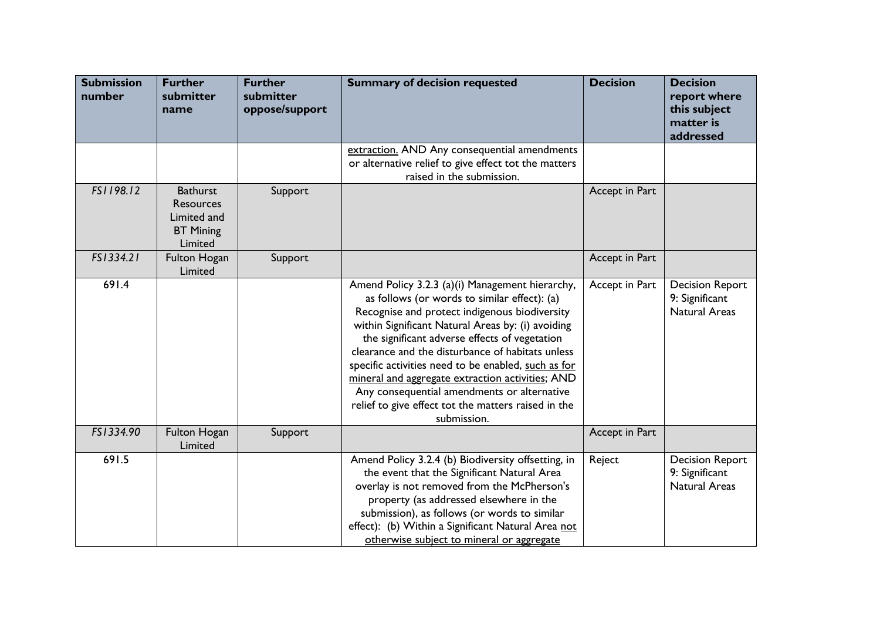| <b>Submission</b><br>number | <b>Further</b><br>submitter<br>name                                        | <b>Further</b><br>submitter<br>oppose/support | <b>Summary of decision requested</b>                                                                                                                                                                                                                                                                                                                                                                                                                                                                                                       | <b>Decision</b> | <b>Decision</b><br>report where<br>this subject<br>matter is<br>addressed |
|-----------------------------|----------------------------------------------------------------------------|-----------------------------------------------|--------------------------------------------------------------------------------------------------------------------------------------------------------------------------------------------------------------------------------------------------------------------------------------------------------------------------------------------------------------------------------------------------------------------------------------------------------------------------------------------------------------------------------------------|-----------------|---------------------------------------------------------------------------|
|                             |                                                                            |                                               | extraction. AND Any consequential amendments<br>or alternative relief to give effect tot the matters<br>raised in the submission.                                                                                                                                                                                                                                                                                                                                                                                                          |                 |                                                                           |
| FS1198.12                   | <b>Bathurst</b><br>Resources<br>Limited and<br><b>BT Mining</b><br>Limited | Support                                       |                                                                                                                                                                                                                                                                                                                                                                                                                                                                                                                                            | Accept in Part  |                                                                           |
| FS1334.21                   | Fulton Hogan<br>Limited                                                    | Support                                       |                                                                                                                                                                                                                                                                                                                                                                                                                                                                                                                                            | Accept in Part  |                                                                           |
| 691.4                       |                                                                            |                                               | Amend Policy 3.2.3 (a)(i) Management hierarchy,<br>as follows (or words to similar effect): (a)<br>Recognise and protect indigenous biodiversity<br>within Significant Natural Areas by: (i) avoiding<br>the significant adverse effects of vegetation<br>clearance and the disturbance of habitats unless<br>specific activities need to be enabled, such as for<br>mineral and aggregate extraction activities; AND<br>Any consequential amendments or alternative<br>relief to give effect tot the matters raised in the<br>submission. | Accept in Part  | <b>Decision Report</b><br>9: Significant<br><b>Natural Areas</b>          |
| FS1334.90                   | Fulton Hogan<br>Limited                                                    | Support                                       |                                                                                                                                                                                                                                                                                                                                                                                                                                                                                                                                            | Accept in Part  |                                                                           |
| 691.5                       |                                                                            |                                               | Amend Policy 3.2.4 (b) Biodiversity offsetting, in<br>the event that the Significant Natural Area<br>overlay is not removed from the McPherson's<br>property (as addressed elsewhere in the<br>submission), as follows (or words to similar<br>effect): (b) Within a Significant Natural Area not<br>otherwise subject to mineral or aggregate                                                                                                                                                                                             | Reject          | <b>Decision Report</b><br>9: Significant<br><b>Natural Areas</b>          |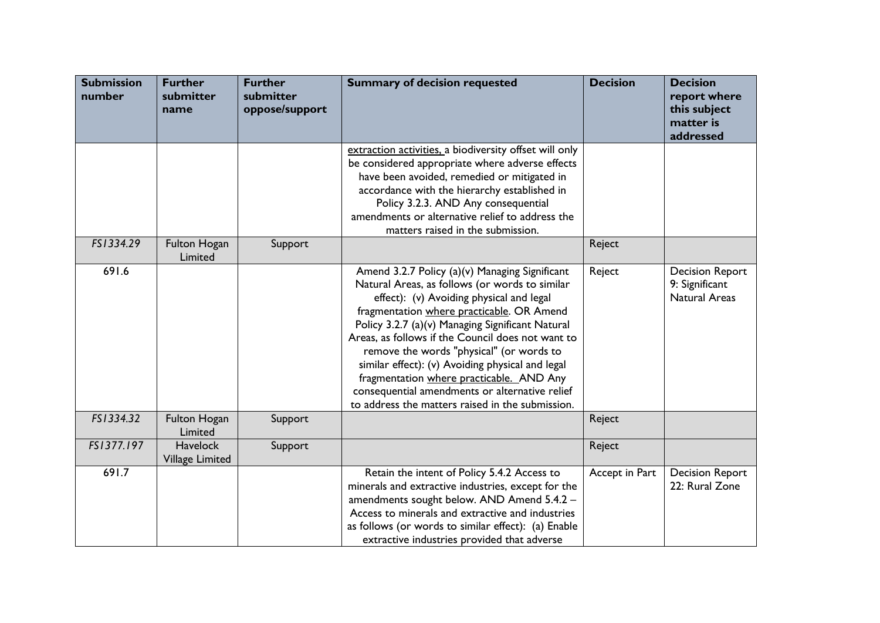| <b>Submission</b><br>number | <b>Further</b><br>submitter<br>name | <b>Further</b><br>submitter<br>oppose/support | <b>Summary of decision requested</b>                                                                                                                                                                                                                                                                                                                                                                                                                                                                                                                 | <b>Decision</b> | <b>Decision</b><br>report where<br>this subject<br>matter is<br>addressed |
|-----------------------------|-------------------------------------|-----------------------------------------------|------------------------------------------------------------------------------------------------------------------------------------------------------------------------------------------------------------------------------------------------------------------------------------------------------------------------------------------------------------------------------------------------------------------------------------------------------------------------------------------------------------------------------------------------------|-----------------|---------------------------------------------------------------------------|
|                             |                                     |                                               | extraction activities, a biodiversity offset will only<br>be considered appropriate where adverse effects<br>have been avoided, remedied or mitigated in<br>accordance with the hierarchy established in<br>Policy 3.2.3. AND Any consequential<br>amendments or alternative relief to address the<br>matters raised in the submission.                                                                                                                                                                                                              |                 |                                                                           |
| FS1334.29                   | Fulton Hogan<br>Limited             | Support                                       |                                                                                                                                                                                                                                                                                                                                                                                                                                                                                                                                                      | Reject          |                                                                           |
| 691.6                       |                                     |                                               | Amend 3.2.7 Policy (a)(v) Managing Significant<br>Natural Areas, as follows (or words to similar<br>effect): (v) Avoiding physical and legal<br>fragmentation where practicable. OR Amend<br>Policy 3.2.7 (a)(v) Managing Significant Natural<br>Areas, as follows if the Council does not want to<br>remove the words "physical" (or words to<br>similar effect): (v) Avoiding physical and legal<br>fragmentation where practicable. AND Any<br>consequential amendments or alternative relief<br>to address the matters raised in the submission. | Reject          | <b>Decision Report</b><br>9: Significant<br><b>Natural Areas</b>          |
| FS1334.32                   | <b>Fulton Hogan</b><br>Limited      | Support                                       |                                                                                                                                                                                                                                                                                                                                                                                                                                                                                                                                                      | Reject          |                                                                           |
| FS1377.197                  | <b>Havelock</b><br>Village Limited  | Support                                       |                                                                                                                                                                                                                                                                                                                                                                                                                                                                                                                                                      | Reject          |                                                                           |
| 691.7                       |                                     |                                               | Retain the intent of Policy 5.4.2 Access to<br>minerals and extractive industries, except for the<br>amendments sought below. AND Amend 5.4.2 -<br>Access to minerals and extractive and industries<br>as follows (or words to similar effect): (a) Enable<br>extractive industries provided that adverse                                                                                                                                                                                                                                            | Accept in Part  | <b>Decision Report</b><br>22: Rural Zone                                  |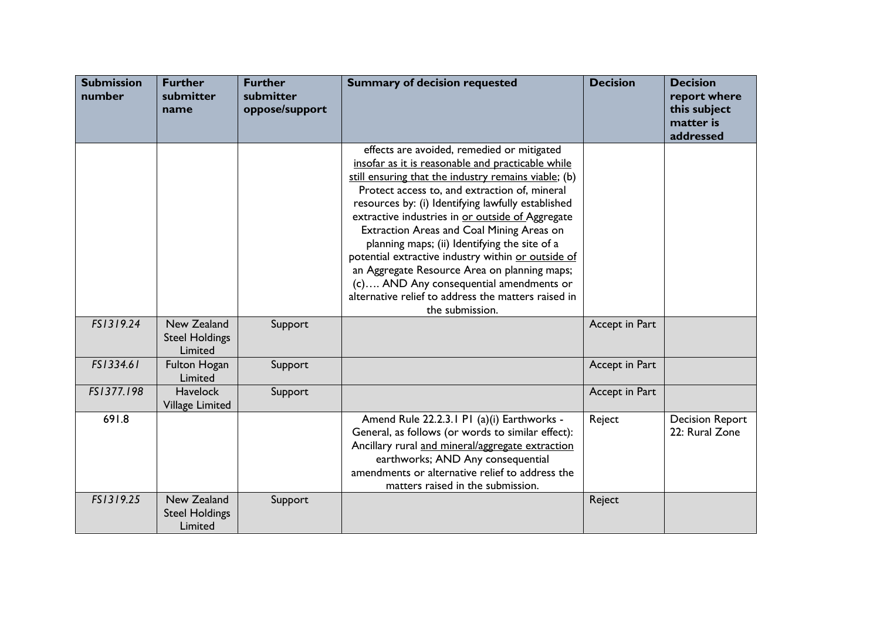| <b>Submission</b><br>number | <b>Further</b><br>submitter<br>name             | <b>Further</b><br>submitter<br>oppose/support | <b>Summary of decision requested</b>                                                                                                                                                                                                                                                                                                                                                                                                                                                                                                                                                                                                        | <b>Decision</b> | <b>Decision</b><br>report where<br>this subject<br>matter is<br>addressed |
|-----------------------------|-------------------------------------------------|-----------------------------------------------|---------------------------------------------------------------------------------------------------------------------------------------------------------------------------------------------------------------------------------------------------------------------------------------------------------------------------------------------------------------------------------------------------------------------------------------------------------------------------------------------------------------------------------------------------------------------------------------------------------------------------------------------|-----------------|---------------------------------------------------------------------------|
|                             |                                                 |                                               | effects are avoided, remedied or mitigated<br>insofar as it is reasonable and practicable while<br>still ensuring that the industry remains viable; (b)<br>Protect access to, and extraction of, mineral<br>resources by: (i) Identifying lawfully established<br>extractive industries in or outside of Aggregate<br>Extraction Areas and Coal Mining Areas on<br>planning maps; (ii) Identifying the site of a<br>potential extractive industry within or outside of<br>an Aggregate Resource Area on planning maps;<br>(c) AND Any consequential amendments or<br>alternative relief to address the matters raised in<br>the submission. |                 |                                                                           |
| FS1319.24                   | New Zealand<br><b>Steel Holdings</b><br>Limited | Support                                       |                                                                                                                                                                                                                                                                                                                                                                                                                                                                                                                                                                                                                                             | Accept in Part  |                                                                           |
| FS1334.61                   | Fulton Hogan<br>Limited                         | Support                                       |                                                                                                                                                                                                                                                                                                                                                                                                                                                                                                                                                                                                                                             | Accept in Part  |                                                                           |
| FS1377.198                  | <b>Havelock</b><br>Village Limited              | Support                                       |                                                                                                                                                                                                                                                                                                                                                                                                                                                                                                                                                                                                                                             | Accept in Part  |                                                                           |
| 691.8                       |                                                 |                                               | Amend Rule 22.2.3.1 P1 (a)(i) Earthworks -<br>General, as follows (or words to similar effect):<br>Ancillary rural and mineral/aggregate extraction<br>earthworks; AND Any consequential<br>amendments or alternative relief to address the<br>matters raised in the submission.                                                                                                                                                                                                                                                                                                                                                            | Reject          | <b>Decision Report</b><br>22: Rural Zone                                  |
| FS1319.25                   | New Zealand<br><b>Steel Holdings</b><br>Limited | Support                                       |                                                                                                                                                                                                                                                                                                                                                                                                                                                                                                                                                                                                                                             | Reject          |                                                                           |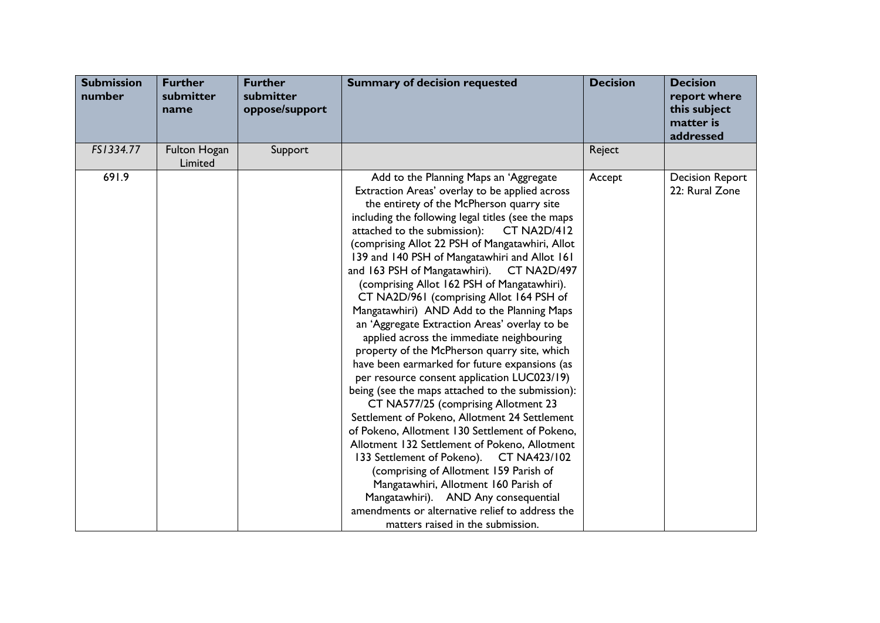| <b>Submission</b><br>number | <b>Further</b><br>submitter<br>name | <b>Further</b><br>submitter<br>oppose/support | <b>Summary of decision requested</b>                                                                                                                                                                                                                                                                                                                                                                                                                                                                                                                                                                                                                                                                                                                                                                                                                                                                                                                                                                                                                                                                                                                                                                                                                                                                              | <b>Decision</b> | <b>Decision</b><br>report where<br>this subject<br>matter is<br>addressed |
|-----------------------------|-------------------------------------|-----------------------------------------------|-------------------------------------------------------------------------------------------------------------------------------------------------------------------------------------------------------------------------------------------------------------------------------------------------------------------------------------------------------------------------------------------------------------------------------------------------------------------------------------------------------------------------------------------------------------------------------------------------------------------------------------------------------------------------------------------------------------------------------------------------------------------------------------------------------------------------------------------------------------------------------------------------------------------------------------------------------------------------------------------------------------------------------------------------------------------------------------------------------------------------------------------------------------------------------------------------------------------------------------------------------------------------------------------------------------------|-----------------|---------------------------------------------------------------------------|
| FS1334.77                   | Fulton Hogan<br>Limited             | Support                                       |                                                                                                                                                                                                                                                                                                                                                                                                                                                                                                                                                                                                                                                                                                                                                                                                                                                                                                                                                                                                                                                                                                                                                                                                                                                                                                                   | Reject          |                                                                           |
| 691.9                       |                                     |                                               | Add to the Planning Maps an 'Aggregate<br>Extraction Areas' overlay to be applied across<br>the entirety of the McPherson quarry site<br>including the following legal titles (see the maps<br>attached to the submission):<br><b>CT NA2D/412</b><br>(comprising Allot 22 PSH of Mangatawhiri, Allot<br>139 and 140 PSH of Mangatawhiri and Allot 161<br>and 163 PSH of Mangatawhiri).<br><b>CT NA2D/497</b><br>(comprising Allot 162 PSH of Mangatawhiri).<br>CT NA2D/961 (comprising Allot 164 PSH of<br>Mangatawhiri) AND Add to the Planning Maps<br>an 'Aggregate Extraction Areas' overlay to be<br>applied across the immediate neighbouring<br>property of the McPherson quarry site, which<br>have been earmarked for future expansions (as<br>per resource consent application LUC023/19)<br>being (see the maps attached to the submission):<br>CT NA577/25 (comprising Allotment 23<br>Settlement of Pokeno, Allotment 24 Settlement<br>of Pokeno, Allotment 130 Settlement of Pokeno,<br>Allotment 132 Settlement of Pokeno, Allotment<br>133 Settlement of Pokeno). CT NA423/102<br>(comprising of Allotment 159 Parish of<br>Mangatawhiri, Allotment 160 Parish of<br>Mangatawhiri). AND Any consequential<br>amendments or alternative relief to address the<br>matters raised in the submission. | Accept          | <b>Decision Report</b><br>22: Rural Zone                                  |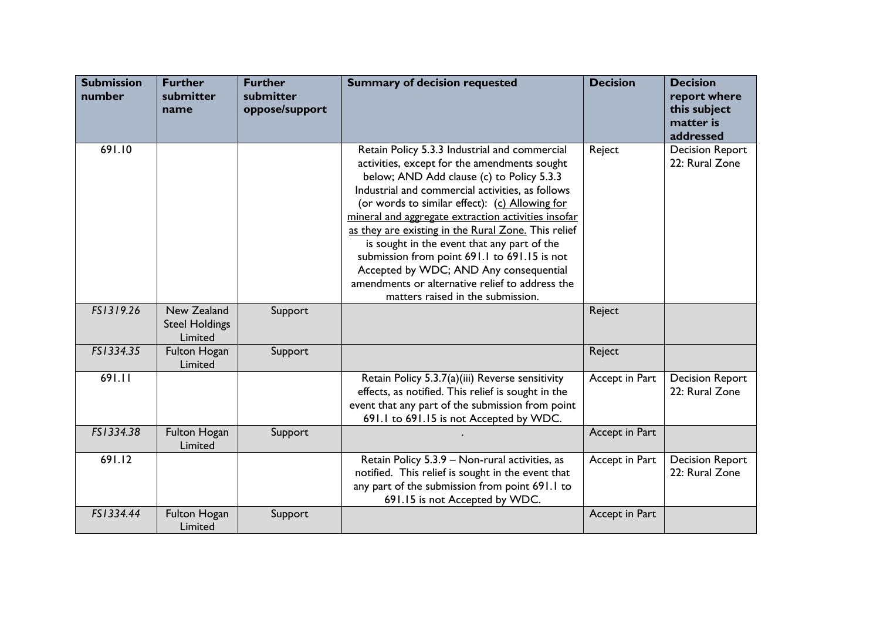| <b>Submission</b><br>number | <b>Further</b><br>submitter<br>name             | <b>Further</b><br>submitter<br>oppose/support | <b>Summary of decision requested</b>                                                                                                                                                                                                                                                                                                                                                                                                                                                                                                                                                            | <b>Decision</b> | <b>Decision</b><br>report where<br>this subject<br>matter is<br>addressed |
|-----------------------------|-------------------------------------------------|-----------------------------------------------|-------------------------------------------------------------------------------------------------------------------------------------------------------------------------------------------------------------------------------------------------------------------------------------------------------------------------------------------------------------------------------------------------------------------------------------------------------------------------------------------------------------------------------------------------------------------------------------------------|-----------------|---------------------------------------------------------------------------|
| 691.10                      |                                                 |                                               | Retain Policy 5.3.3 Industrial and commercial<br>activities, except for the amendments sought<br>below; AND Add clause (c) to Policy 5.3.3<br>Industrial and commercial activities, as follows<br>(or words to similar effect): (c) Allowing for<br>mineral and aggregate extraction activities insofar<br>as they are existing in the Rural Zone. This relief<br>is sought in the event that any part of the<br>submission from point 691.1 to 691.15 is not<br>Accepted by WDC; AND Any consequential<br>amendments or alternative relief to address the<br>matters raised in the submission. | Reject          | <b>Decision Report</b><br>22: Rural Zone                                  |
| FS1319.26                   | New Zealand<br><b>Steel Holdings</b><br>Limited | Support                                       |                                                                                                                                                                                                                                                                                                                                                                                                                                                                                                                                                                                                 | Reject          |                                                                           |
| FS1334.35                   | Fulton Hogan<br>Limited                         | Support                                       |                                                                                                                                                                                                                                                                                                                                                                                                                                                                                                                                                                                                 | Reject          |                                                                           |
| 691.11                      |                                                 |                                               | Retain Policy 5.3.7(a)(iii) Reverse sensitivity<br>effects, as notified. This relief is sought in the<br>event that any part of the submission from point<br>691.1 to 691.15 is not Accepted by WDC.                                                                                                                                                                                                                                                                                                                                                                                            | Accept in Part  | <b>Decision Report</b><br>22: Rural Zone                                  |
| FS1334.38                   | Fulton Hogan<br>Limited                         | Support                                       |                                                                                                                                                                                                                                                                                                                                                                                                                                                                                                                                                                                                 | Accept in Part  |                                                                           |
| 691.12                      |                                                 |                                               | Retain Policy 5.3.9 - Non-rural activities, as<br>notified. This relief is sought in the event that<br>any part of the submission from point 691.1 to<br>691.15 is not Accepted by WDC.                                                                                                                                                                                                                                                                                                                                                                                                         | Accept in Part  | <b>Decision Report</b><br>22: Rural Zone                                  |
| FS1334.44                   | Fulton Hogan<br>Limited                         | Support                                       |                                                                                                                                                                                                                                                                                                                                                                                                                                                                                                                                                                                                 | Accept in Part  |                                                                           |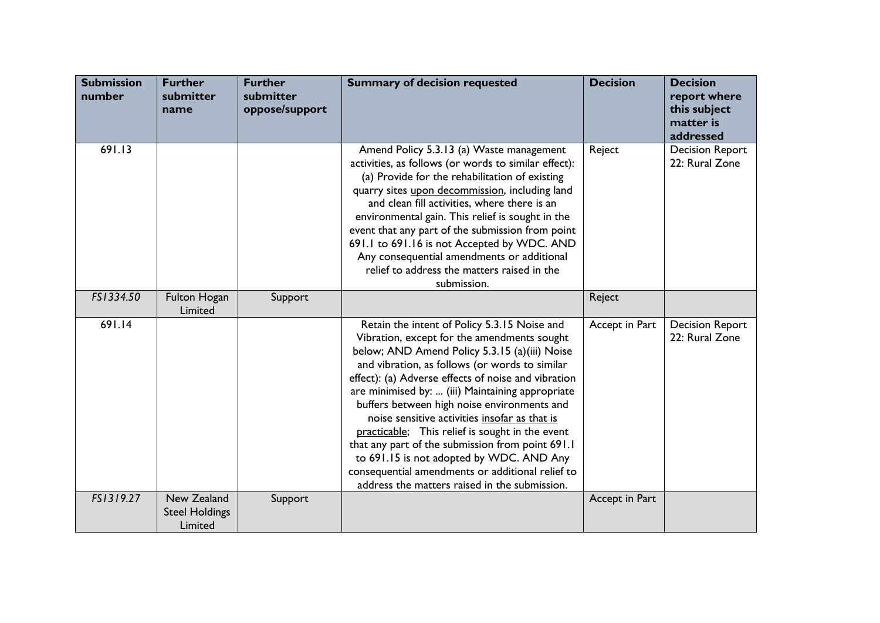| <b>Submission</b><br>number | <b>Further</b><br>submitter<br>name             | <b>Further</b><br>submitter<br>oppose/support | <b>Summary of decision requested</b>                                                                                                                                                                                                                                                                                                                                                                                                                                                                                                                                                                                                                              | <b>Decision</b> | <b>Decision</b><br>report where<br>this subject<br>matter is<br>addressed |
|-----------------------------|-------------------------------------------------|-----------------------------------------------|-------------------------------------------------------------------------------------------------------------------------------------------------------------------------------------------------------------------------------------------------------------------------------------------------------------------------------------------------------------------------------------------------------------------------------------------------------------------------------------------------------------------------------------------------------------------------------------------------------------------------------------------------------------------|-----------------|---------------------------------------------------------------------------|
| 691.13                      |                                                 |                                               | Amend Policy 5.3.13 (a) Waste management<br>activities, as follows (or words to similar effect):<br>(a) Provide for the rehabilitation of existing<br>quarry sites upon decommission, including land<br>and clean fill activities, where there is an<br>environmental gain. This relief is sought in the<br>event that any part of the submission from point<br>691.1 to 691.16 is not Accepted by WDC. AND<br>Any consequential amendments or additional<br>relief to address the matters raised in the<br>submission.                                                                                                                                           | Reject          | <b>Decision Report</b><br>22: Rural Zone                                  |
| FS1334.50                   | Fulton Hogan<br>Limited                         | Support                                       |                                                                                                                                                                                                                                                                                                                                                                                                                                                                                                                                                                                                                                                                   | Reject          |                                                                           |
| 691.14                      |                                                 |                                               | Retain the intent of Policy 5.3.15 Noise and<br>Vibration, except for the amendments sought<br>below; AND Amend Policy 5.3.15 (a)(iii) Noise<br>and vibration, as follows (or words to similar<br>effect): (a) Adverse effects of noise and vibration<br>are minimised by:  (iii) Maintaining appropriate<br>buffers between high noise environments and<br>noise sensitive activities insofar as that is<br>practicable; This relief is sought in the event<br>that any part of the submission from point 691.1<br>to 691.15 is not adopted by WDC. AND Any<br>consequential amendments or additional relief to<br>address the matters raised in the submission. | Accept in Part  | <b>Decision Report</b><br>22: Rural Zone                                  |
| FS1319.27                   | New Zealand<br><b>Steel Holdings</b><br>Limited | Support                                       |                                                                                                                                                                                                                                                                                                                                                                                                                                                                                                                                                                                                                                                                   | Accept in Part  |                                                                           |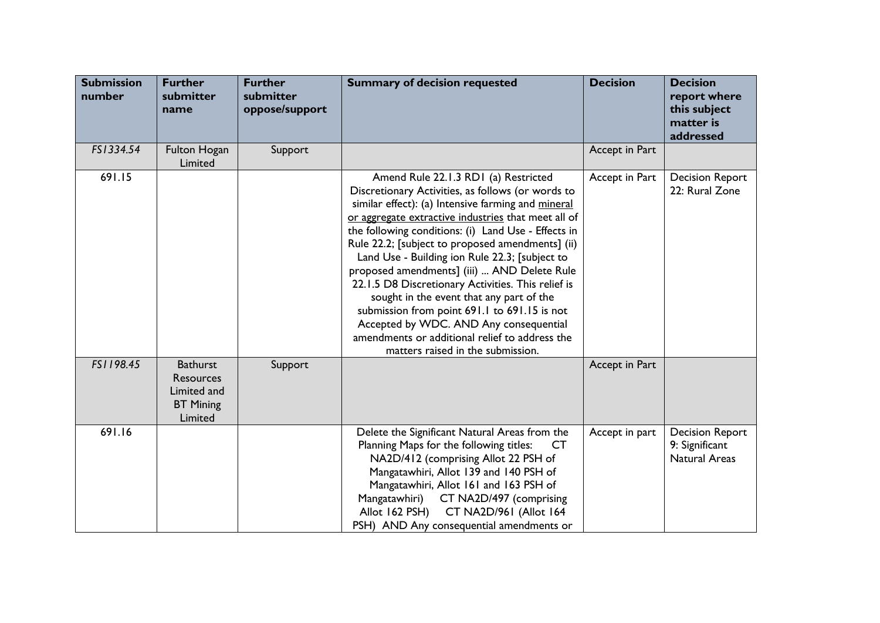| <b>Submission</b><br>number | <b>Further</b><br>submitter<br>name                                               | <b>Further</b><br>submitter<br>oppose/support | <b>Summary of decision requested</b>                                                                                                                                                                                                                                                                                                                                                                                                                                                                                                                                                                                                                                                                  | <b>Decision</b> | <b>Decision</b><br>report where<br>this subject<br>matter is<br>addressed |
|-----------------------------|-----------------------------------------------------------------------------------|-----------------------------------------------|-------------------------------------------------------------------------------------------------------------------------------------------------------------------------------------------------------------------------------------------------------------------------------------------------------------------------------------------------------------------------------------------------------------------------------------------------------------------------------------------------------------------------------------------------------------------------------------------------------------------------------------------------------------------------------------------------------|-----------------|---------------------------------------------------------------------------|
| FS1334.54                   | Fulton Hogan<br>Limited                                                           | Support                                       |                                                                                                                                                                                                                                                                                                                                                                                                                                                                                                                                                                                                                                                                                                       | Accept in Part  |                                                                           |
| 691.15                      |                                                                                   |                                               | Amend Rule 22.1.3 RD1 (a) Restricted<br>Discretionary Activities, as follows (or words to<br>similar effect): (a) Intensive farming and mineral<br>or aggregate extractive industries that meet all of<br>the following conditions: (i) Land Use - Effects in<br>Rule 22.2; [subject to proposed amendments] (ii)<br>Land Use - Building ion Rule 22.3; [subject to<br>proposed amendments] (iii)  AND Delete Rule<br>22.1.5 D8 Discretionary Activities. This relief is<br>sought in the event that any part of the<br>submission from point 691.1 to 691.15 is not<br>Accepted by WDC. AND Any consequential<br>amendments or additional relief to address the<br>matters raised in the submission. | Accept in Part  | <b>Decision Report</b><br>22: Rural Zone                                  |
| FS1198.45                   | <b>Bathurst</b><br><b>Resources</b><br>Limited and<br><b>BT</b> Mining<br>Limited | Support                                       |                                                                                                                                                                                                                                                                                                                                                                                                                                                                                                                                                                                                                                                                                                       | Accept in Part  |                                                                           |
| 691.16                      |                                                                                   |                                               | Delete the Significant Natural Areas from the<br>Planning Maps for the following titles:<br>CT.<br>NA2D/412 (comprising Allot 22 PSH of<br>Mangatawhiri, Allot 139 and 140 PSH of<br>Mangatawhiri, Allot 161 and 163 PSH of<br>Mangatawhiri)<br>CT NA2D/497 (comprising<br>CT NA2D/961 (Allot 164<br>Allot 162 PSH)<br>PSH) AND Any consequential amendments or                                                                                                                                                                                                                                                                                                                                       | Accept in part  | <b>Decision Report</b><br>9: Significant<br><b>Natural Areas</b>          |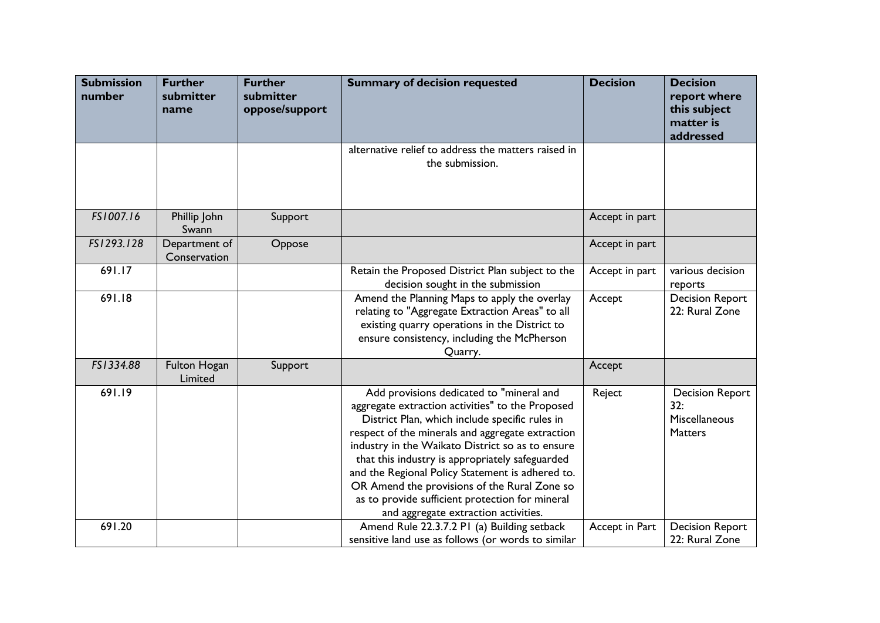| <b>Submission</b><br>number | <b>Further</b><br>submitter<br>name | <b>Further</b><br>submitter<br>oppose/support | <b>Summary of decision requested</b>                                                                                                                                                                                                                                                                                                                                                                                                                                                                     | <b>Decision</b> | <b>Decision</b><br>report where<br>this subject<br>matter is<br>addressed |
|-----------------------------|-------------------------------------|-----------------------------------------------|----------------------------------------------------------------------------------------------------------------------------------------------------------------------------------------------------------------------------------------------------------------------------------------------------------------------------------------------------------------------------------------------------------------------------------------------------------------------------------------------------------|-----------------|---------------------------------------------------------------------------|
|                             |                                     |                                               | alternative relief to address the matters raised in<br>the submission.                                                                                                                                                                                                                                                                                                                                                                                                                                   |                 |                                                                           |
| FS1007.16                   | Phillip John<br>Swann               | Support                                       |                                                                                                                                                                                                                                                                                                                                                                                                                                                                                                          | Accept in part  |                                                                           |
| FS1293.128                  | Department of<br>Conservation       | Oppose                                        |                                                                                                                                                                                                                                                                                                                                                                                                                                                                                                          | Accept in part  |                                                                           |
| 691.17                      |                                     |                                               | Retain the Proposed District Plan subject to the<br>decision sought in the submission                                                                                                                                                                                                                                                                                                                                                                                                                    | Accept in part  | various decision<br>reports                                               |
| 691.18                      |                                     |                                               | Amend the Planning Maps to apply the overlay<br>relating to "Aggregate Extraction Areas" to all<br>existing quarry operations in the District to<br>ensure consistency, including the McPherson<br>Quarry.                                                                                                                                                                                                                                                                                               | Accept          | <b>Decision Report</b><br>22: Rural Zone                                  |
| FS1334.88                   | Fulton Hogan<br>Limited             | Support                                       |                                                                                                                                                                                                                                                                                                                                                                                                                                                                                                          | Accept          |                                                                           |
| 691.19                      |                                     |                                               | Add provisions dedicated to "mineral and<br>aggregate extraction activities" to the Proposed<br>District Plan, which include specific rules in<br>respect of the minerals and aggregate extraction<br>industry in the Waikato District so as to ensure<br>that this industry is appropriately safeguarded<br>and the Regional Policy Statement is adhered to.<br>OR Amend the provisions of the Rural Zone so<br>as to provide sufficient protection for mineral<br>and aggregate extraction activities. | Reject          | <b>Decision Report</b><br>32:<br>Miscellaneous<br><b>Matters</b>          |
| 691.20                      |                                     |                                               | Amend Rule 22.3.7.2 PI (a) Building setback<br>sensitive land use as follows (or words to similar                                                                                                                                                                                                                                                                                                                                                                                                        | Accept in Part  | <b>Decision Report</b><br>22: Rural Zone                                  |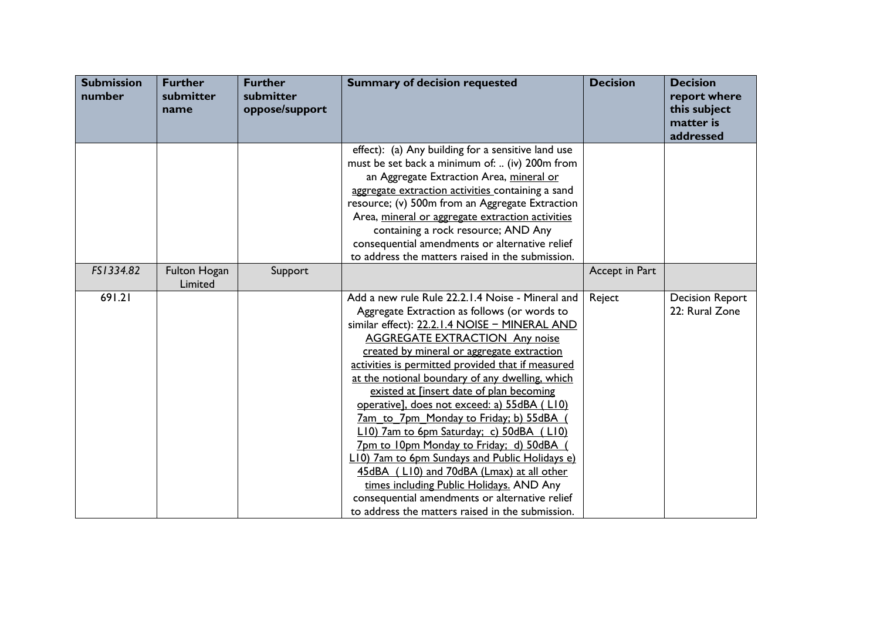| <b>Submission</b><br>number | <b>Further</b><br>submitter<br>name | <b>Further</b><br>submitter<br>oppose/support | <b>Summary of decision requested</b>                                                                                                                                                                                                                                                                                                                                                                                                                                                                                                                                                                                                                                                                                                                                                                                               | <b>Decision</b> | <b>Decision</b><br>report where<br>this subject<br>matter is<br>addressed |
|-----------------------------|-------------------------------------|-----------------------------------------------|------------------------------------------------------------------------------------------------------------------------------------------------------------------------------------------------------------------------------------------------------------------------------------------------------------------------------------------------------------------------------------------------------------------------------------------------------------------------------------------------------------------------------------------------------------------------------------------------------------------------------------------------------------------------------------------------------------------------------------------------------------------------------------------------------------------------------------|-----------------|---------------------------------------------------------------------------|
|                             |                                     |                                               | effect): (a) Any building for a sensitive land use<br>must be set back a minimum of:  (iv) 200m from<br>an Aggregate Extraction Area, mineral or<br>aggregate extraction activities containing a sand<br>resource; (v) 500m from an Aggregate Extraction<br>Area, mineral or aggregate extraction activities<br>containing a rock resource; AND Any<br>consequential amendments or alternative relief<br>to address the matters raised in the submission.                                                                                                                                                                                                                                                                                                                                                                          |                 |                                                                           |
| FS1334.82                   | Fulton Hogan<br>Limited             | Support                                       |                                                                                                                                                                                                                                                                                                                                                                                                                                                                                                                                                                                                                                                                                                                                                                                                                                    | Accept in Part  |                                                                           |
| 691.21                      |                                     |                                               | Add a new rule Rule 22.2.1.4 Noise - Mineral and<br>Aggregate Extraction as follows (or words to<br>similar effect): 22.2.1.4 NOISE - MINERAL AND<br><b>AGGREGATE EXTRACTION Any noise</b><br>created by mineral or aggregate extraction<br>activities is permitted provided that if measured<br>at the notional boundary of any dwelling, which<br>existed at [insert date of plan becoming<br>operative], does not exceed: a) 55dBA (LI0)<br><u>7am to 7pm Monday to Friday; b) 55dBA</u><br>L10) 7am to 6pm Saturday; c) 50dBA (L10)<br>7pm to 10pm Monday to Friday; d) 50dBA<br>L10) 7am to 6pm Sundays and Public Holidays e)<br>45dBA (LI0) and 70dBA (Lmax) at all other<br>times including Public Holidays. AND Any<br>consequential amendments or alternative relief<br>to address the matters raised in the submission. | Reject          | <b>Decision Report</b><br>22: Rural Zone                                  |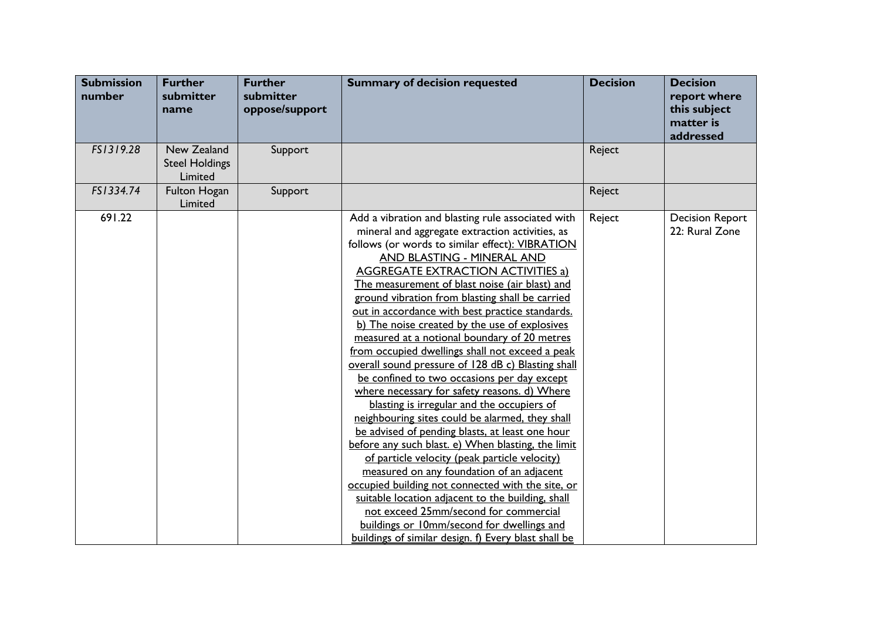| <b>Submission</b><br>number | <b>Further</b><br>submitter<br>name             | <b>Further</b><br>submitter<br>oppose/support | <b>Summary of decision requested</b>                                                                                                                                                                                                                                                                                                                                                                                                                                                                                                                                                                                                                                                                                                                                                                                                                                                                                                                                                                                                                                                                                                                                                                                                                                 | <b>Decision</b> | <b>Decision</b><br>report where<br>this subject<br>matter is<br>addressed |
|-----------------------------|-------------------------------------------------|-----------------------------------------------|----------------------------------------------------------------------------------------------------------------------------------------------------------------------------------------------------------------------------------------------------------------------------------------------------------------------------------------------------------------------------------------------------------------------------------------------------------------------------------------------------------------------------------------------------------------------------------------------------------------------------------------------------------------------------------------------------------------------------------------------------------------------------------------------------------------------------------------------------------------------------------------------------------------------------------------------------------------------------------------------------------------------------------------------------------------------------------------------------------------------------------------------------------------------------------------------------------------------------------------------------------------------|-----------------|---------------------------------------------------------------------------|
| FS1319.28                   | New Zealand<br><b>Steel Holdings</b><br>Limited | Support                                       |                                                                                                                                                                                                                                                                                                                                                                                                                                                                                                                                                                                                                                                                                                                                                                                                                                                                                                                                                                                                                                                                                                                                                                                                                                                                      | Reject          |                                                                           |
| FS1334.74                   | <b>Fulton Hogan</b><br>Limited                  | Support                                       |                                                                                                                                                                                                                                                                                                                                                                                                                                                                                                                                                                                                                                                                                                                                                                                                                                                                                                                                                                                                                                                                                                                                                                                                                                                                      | Reject          |                                                                           |
| 691.22                      |                                                 |                                               | Add a vibration and blasting rule associated with<br>mineral and aggregate extraction activities, as<br>follows (or words to similar effect): VIBRATION<br>AND BLASTING - MINERAL AND<br><b>AGGREGATE EXTRACTION ACTIVITIES a)</b><br>The measurement of blast noise (air blast) and<br>ground vibration from blasting shall be carried<br>out in accordance with best practice standards.<br>b) The noise created by the use of explosives<br>measured at a notional boundary of 20 metres<br>from occupied dwellings shall not exceed a peak<br>overall sound pressure of 128 dB c) Blasting shall<br>be confined to two occasions per day except<br>where necessary for safety reasons. d) Where<br>blasting is irregular and the occupiers of<br>neighbouring sites could be alarmed, they shall<br>be advised of pending blasts, at least one hour<br>before any such blast. e) When blasting, the limit<br>of particle velocity (peak particle velocity)<br>measured on any foundation of an adjacent<br>occupied building not connected with the site, or<br>suitable location adjacent to the building, shall<br>not exceed 25mm/second for commercial<br>buildings or 10mm/second for dwellings and<br>buildings of similar design. f) Every blast shall be | Reject          | <b>Decision Report</b><br>22: Rural Zone                                  |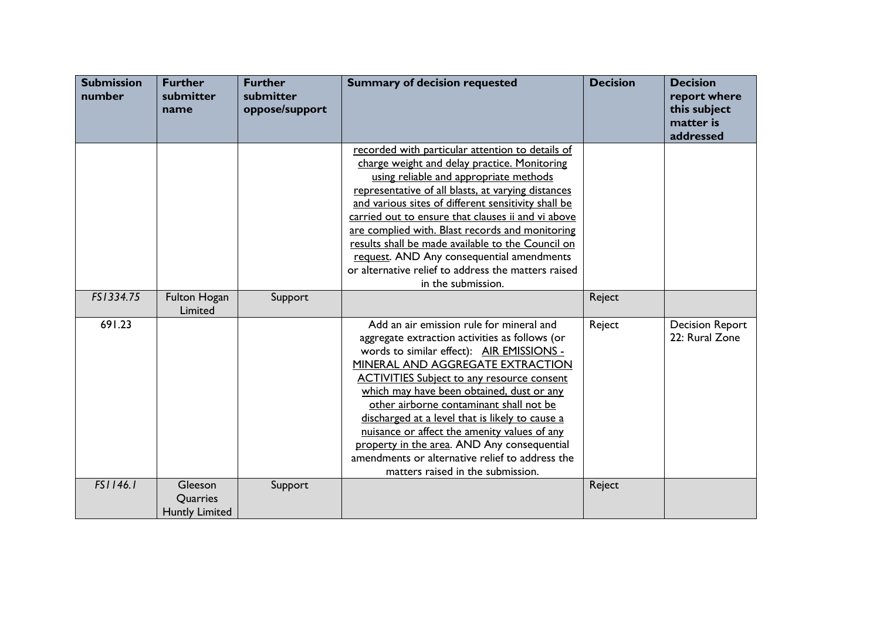| <b>Submission</b><br>number | <b>Further</b><br>submitter<br>name          | <b>Further</b><br>submitter<br>oppose/support | <b>Summary of decision requested</b>                                                                                                                                                                                                                                                                                                                                                                                                                                                                                                                               | <b>Decision</b> | <b>Decision</b><br>report where<br>this subject<br>matter is<br>addressed |
|-----------------------------|----------------------------------------------|-----------------------------------------------|--------------------------------------------------------------------------------------------------------------------------------------------------------------------------------------------------------------------------------------------------------------------------------------------------------------------------------------------------------------------------------------------------------------------------------------------------------------------------------------------------------------------------------------------------------------------|-----------------|---------------------------------------------------------------------------|
|                             |                                              |                                               | recorded with particular attention to details of<br>charge weight and delay practice. Monitoring<br>using reliable and appropriate methods<br>representative of all blasts, at varying distances<br>and various sites of different sensitivity shall be<br>carried out to ensure that clauses ii and vi above<br>are complied with. Blast records and monitoring<br>results shall be made available to the Council on<br>request. AND Any consequential amendments<br>or alternative relief to address the matters raised<br>in the submission.                    |                 |                                                                           |
| FS1334.75                   | <b>Fulton Hogan</b><br>Limited               | Support                                       |                                                                                                                                                                                                                                                                                                                                                                                                                                                                                                                                                                    | Reject          |                                                                           |
| 691.23                      |                                              |                                               | Add an air emission rule for mineral and<br>aggregate extraction activities as follows (or<br>words to similar effect): AIR EMISSIONS -<br>MINERAL AND AGGREGATE EXTRACTION<br><b>ACTIVITIES Subject to any resource consent</b><br>which may have been obtained, dust or any<br>other airborne contaminant shall not be<br>discharged at a level that is likely to cause a<br>nuisance or affect the amenity values of any<br>property in the area. AND Any consequential<br>amendments or alternative relief to address the<br>matters raised in the submission. | Reject          | <b>Decision Report</b><br>22: Rural Zone                                  |
| FS1146.1                    | Gleeson<br>Quarries<br><b>Huntly Limited</b> | Support                                       |                                                                                                                                                                                                                                                                                                                                                                                                                                                                                                                                                                    | Reject          |                                                                           |